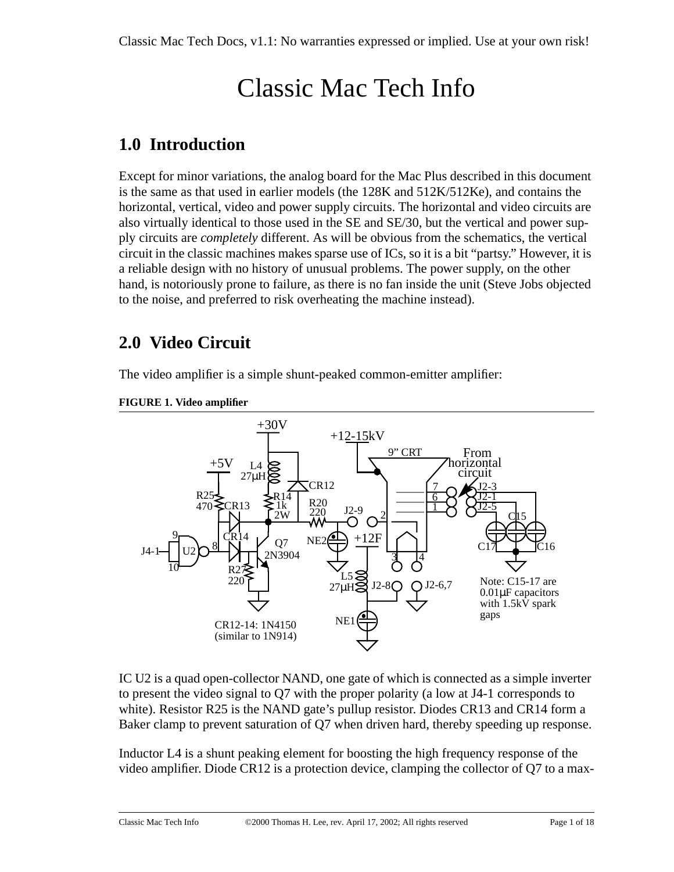# Classic Mac Tech Info

# **1.0 Introduction**

Except for minor variations, the analog board for the Mac Plus described in this document is the same as that used in earlier models (the 128K and 512K/512Ke), and contains the horizontal, vertical, video and power supply circuits. The horizontal and video circuits are also virtually identical to those used in the SE and SE/30, but the vertical and power supply circuits are *completely* different. As will be obvious from the schematics, the vertical circuit in the classic machines makes sparse use of ICs, so it is a bit "partsy." However, it is a reliable design with no history of unusual problems. The power supply, on the other hand, is notoriously prone to failure, as there is no fan inside the unit (Steve Jobs objected to the noise, and preferred to risk overheating the machine instead).

# **2.0 Video Circuit**

The video amplifier is a simple shunt-peaked common-emitter amplifier:



#### **FIGURE 1. Video amplifier**

IC U2 is a quad open-collector NAND, one gate of which is connected as a simple inverter to present the video signal to Q7 with the proper polarity (a low at J4-1 corresponds to white). Resistor R25 is the NAND gate's pullup resistor. Diodes CR13 and CR14 form a Baker clamp to prevent saturation of Q7 when driven hard, thereby speeding up response.

Inductor L4 is a shunt peaking element for boosting the high frequency response of the video amplifier. Diode CR12 is a protection device, clamping the collector of Q7 to a max-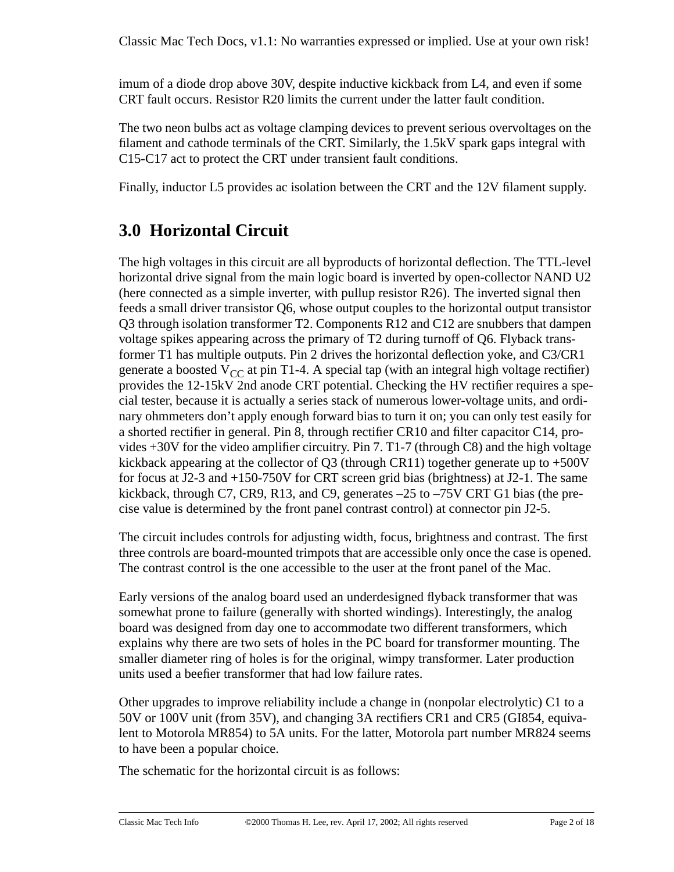imum of a diode drop above 30V, despite inductive kickback from L4, and even if some CRT fault occurs. Resistor R20 limits the current under the latter fault condition.

The two neon bulbs act as voltage clamping devices to prevent serious overvoltages on the filament and cathode terminals of the CRT. Similarly, the 1.5kV spark gaps integral with C15-C17 act to protect the CRT under transient fault conditions.

Finally, inductor L5 provides ac isolation between the CRT and the 12V filament supply.

# **3.0 Horizontal Circuit**

The high voltages in this circuit are all byproducts of horizontal deflection. The TTL-level horizontal drive signal from the main logic board is inverted by open-collector NAND U2 (here connected as a simple inverter, with pullup resistor R26). The inverted signal then feeds a small driver transistor Q6, whose output couples to the horizontal output transistor Q3 through isolation transformer T2. Components R12 and C12 are snubbers that dampen voltage spikes appearing across the primary of T2 during turnoff of Q6. Flyback transformer T1 has multiple outputs. Pin 2 drives the horizontal deflection yoke, and C3/CR1 generate a boosted  $V_{CC}$  at pin T1-4. A special tap (with an integral high voltage rectifier) provides the 12-15kV 2nd anode CRT potential. Checking the HV rectifier requires a special tester, because it is actually a series stack of numerous lower-voltage units, and ordinary ohmmeters don't apply enough forward bias to turn it on; you can only test easily for a shorted rectifier in general. Pin 8, through rectifier CR10 and filter capacitor C14, provides +30V for the video amplifier circuitry. Pin 7. T1-7 (through C8) and the high voltage kickback appearing at the collector of Q3 (through CR11) together generate up to  $+500V$ for focus at J2-3 and +150-750V for CRT screen grid bias (brightness) at J2-1. The same kickback, through C7, CR9, R13, and C9, generates –25 to –75V CRT G1 bias (the precise value is determined by the front panel contrast control) at connector pin J2-5.

The circuit includes controls for adjusting width, focus, brightness and contrast. The first three controls are board-mounted trimpots that are accessible only once the case is opened. The contrast control is the one accessible to the user at the front panel of the Mac.

Early versions of the analog board used an underdesigned flyback transformer that was somewhat prone to failure (generally with shorted windings). Interestingly, the analog board was designed from day one to accommodate two different transformers, which explains why there are two sets of holes in the PC board for transformer mounting. The smaller diameter ring of holes is for the original, wimpy transformer. Later production units used a beefier transformer that had low failure rates.

Other upgrades to improve reliability include a change in (nonpolar electrolytic) C1 to a 50V or 100V unit (from 35V), and changing 3A rectifiers CR1 and CR5 (GI854, equivalent to Motorola MR854) to 5A units. For the latter, Motorola part number MR824 seems to have been a popular choice.

The schematic for the horizontal circuit is as follows: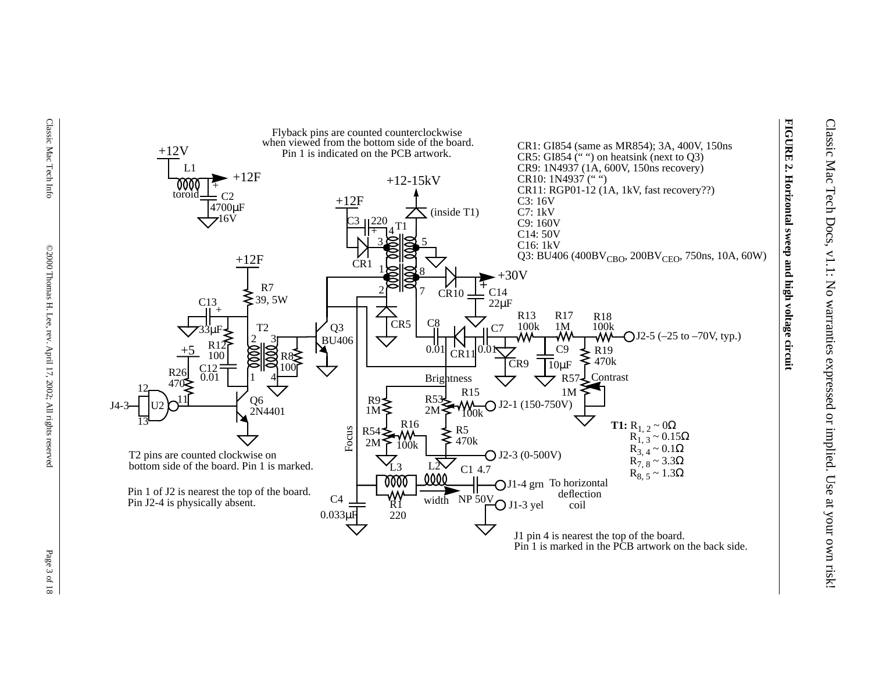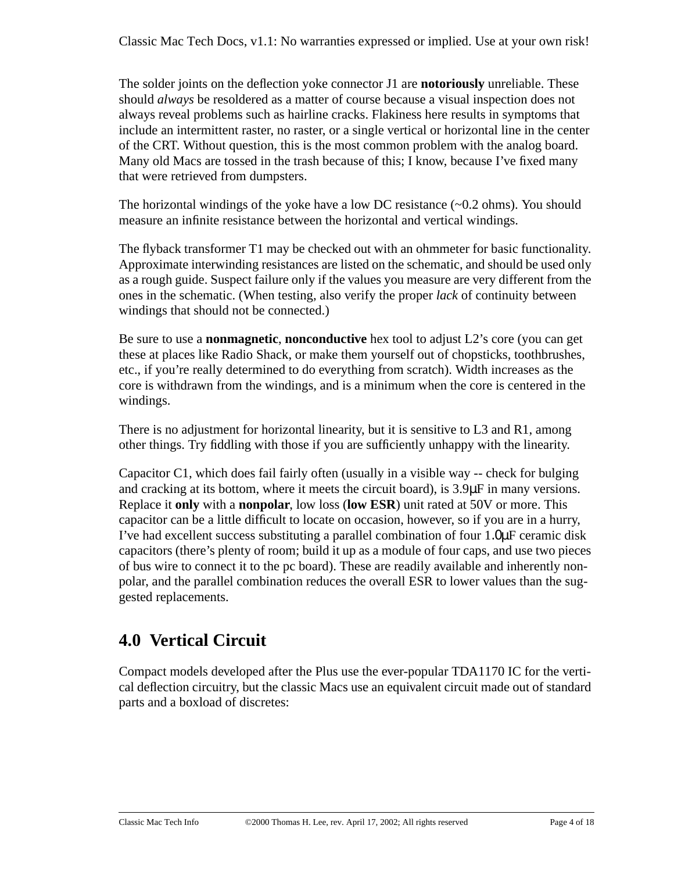The solder joints on the deflection yoke connector J1 are **notoriously** unreliable. These should *always* be resoldered as a matter of course because a visual inspection does not always reveal problems such as hairline cracks. Flakiness here results in symptoms that include an intermittent raster, no raster, or a single vertical or horizontal line in the center of the CRT. Without question, this is the most common problem with the analog board. Many old Macs are tossed in the trash because of this; I know, because I've fixed many that were retrieved from dumpsters.

The horizontal windings of the yoke have a low DC resistance  $(\sim 0.2 \text{ ohms})$ . You should measure an infinite resistance between the horizontal and vertical windings.

The flyback transformer T1 may be checked out with an ohmmeter for basic functionality. Approximate interwinding resistances are listed on the schematic, and should be used only as a rough guide. Suspect failure only if the values you measure are very different from the ones in the schematic. (When testing, also verify the proper *lack* of continuity between windings that should not be connected.)

Be sure to use a **nonmagnetic**, **nonconductive** hex tool to adjust L2's core (you can get these at places like Radio Shack, or make them yourself out of chopsticks, toothbrushes, etc., if you're really determined to do everything from scratch). Width increases as the core is withdrawn from the windings, and is a minimum when the core is centered in the windings.

There is no adjustment for horizontal linearity, but it is sensitive to L3 and R1, among other things. Try fiddling with those if you are sufficiently unhappy with the linearity.

Capacitor C1, which does fail fairly often (usually in a visible way -- check for bulging and cracking at its bottom, where it meets the circuit board), is 3.9µF in many versions. Replace it **only** with a **nonpolar**, low loss (**low ESR**) unit rated at 50V or more. This capacitor can be a little difficult to locate on occasion, however, so if you are in a hurry, I've had excellent success substituting a parallel combination of four 1.0µF ceramic disk capacitors (there's plenty of room; build it up as a module of four caps, and use two pieces of bus wire to connect it to the pc board). These are readily available and inherently nonpolar, and the parallel combination reduces the overall ESR to lower values than the suggested replacements.

# **4.0 Vertical Circuit**

Compact models developed after the Plus use the ever-popular TDA1170 IC for the vertical deflection circuitry, but the classic Macs use an equivalent circuit made out of standard parts and a boxload of discretes: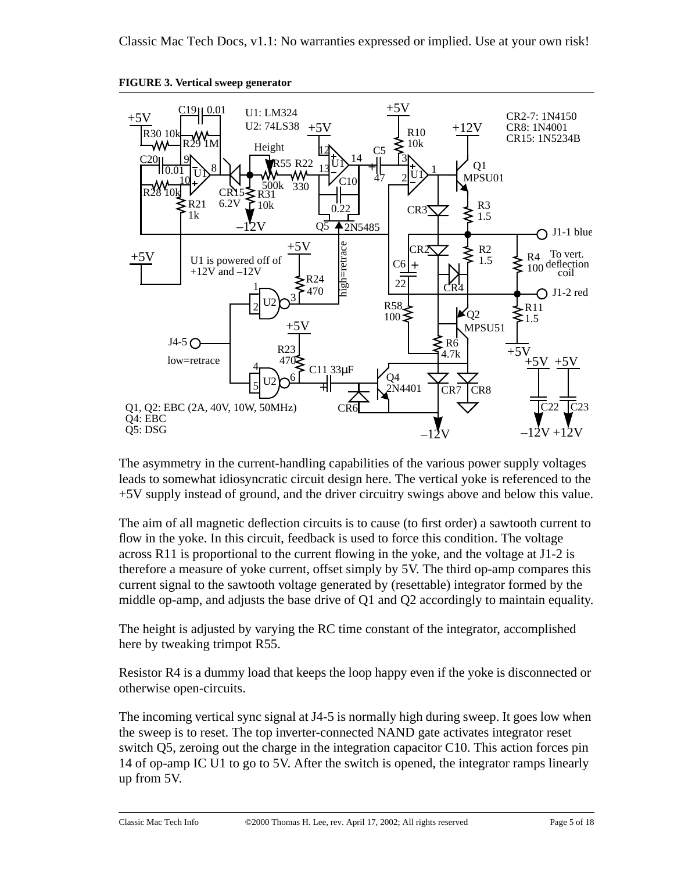

**FIGURE 3. Vertical sweep generator**

The asymmetry in the current-handling capabilities of the various power supply voltages leads to somewhat idiosyncratic circuit design here. The vertical yoke is referenced to the +5V supply instead of ground, and the driver circuitry swings above and below this value.

The aim of all magnetic deflection circuits is to cause (to first order) a sawtooth current to flow in the yoke. In this circuit, feedback is used to force this condition. The voltage across R11 is proportional to the current flowing in the yoke, and the voltage at J1-2 is therefore a measure of yoke current, offset simply by 5V. The third op-amp compares this current signal to the sawtooth voltage generated by (resettable) integrator formed by the middle op-amp, and adjusts the base drive of Q1 and Q2 accordingly to maintain equality.

The height is adjusted by varying the RC time constant of the integrator, accomplished here by tweaking trimpot R55.

Resistor R4 is a dummy load that keeps the loop happy even if the yoke is disconnected or otherwise open-circuits.

The incoming vertical sync signal at J4-5 is normally high during sweep. It goes low when the sweep is to reset. The top inverter-connected NAND gate activates integrator reset switch Q5, zeroing out the charge in the integration capacitor C10. This action forces pin 14 of op-amp IC U1 to go to 5V. After the switch is opened, the integrator ramps linearly up from 5V.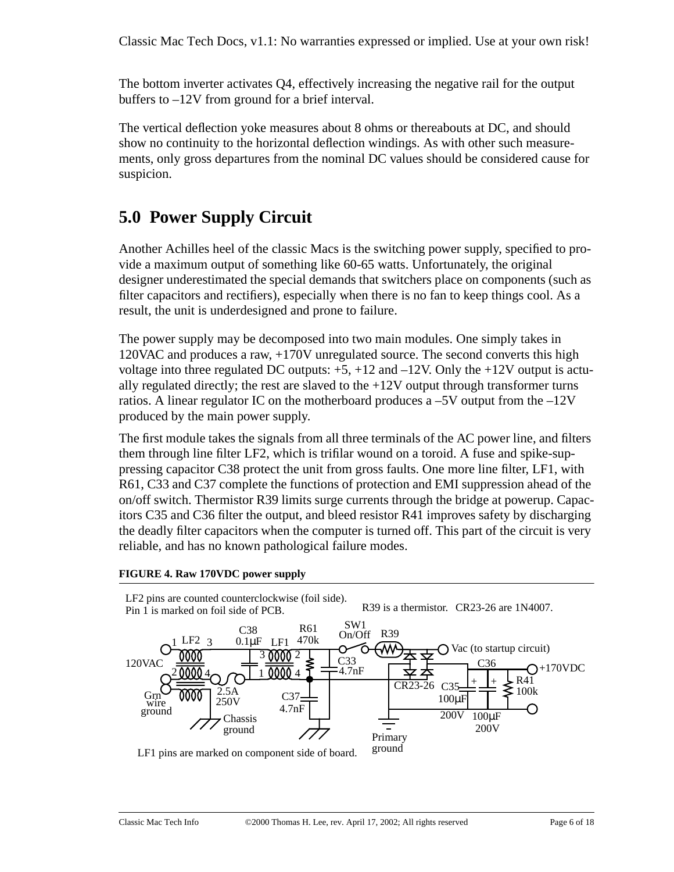The bottom inverter activates Q4, effectively increasing the negative rail for the output buffers to –12V from ground for a brief interval.

The vertical deflection yoke measures about 8 ohms or thereabouts at DC, and should show no continuity to the horizontal deflection windings. As with other such measurements, only gross departures from the nominal DC values should be considered cause for suspicion.

# **5.0 Power Supply Circuit**

Another Achilles heel of the classic Macs is the switching power supply, specified to provide a maximum output of something like 60-65 watts. Unfortunately, the original designer underestimated the special demands that switchers place on components (such as filter capacitors and rectifiers), especially when there is no fan to keep things cool. As a result, the unit is underdesigned and prone to failure.

The power supply may be decomposed into two main modules. One simply takes in 120VAC and produces a raw, +170V unregulated source. The second converts this high voltage into three regulated DC outputs:  $+5$ ,  $+12$  and  $-12V$ . Only the  $+12V$  output is actually regulated directly; the rest are slaved to the  $+12V$  output through transformer turns ratios. A linear regulator IC on the motherboard produces a  $-5V$  output from the  $-12V$ produced by the main power supply.

The first module takes the signals from all three terminals of the AC power line, and filters them through line filter LF2, which is trifilar wound on a toroid. A fuse and spike-suppressing capacitor C38 protect the unit from gross faults. One more line filter, LF1, with R61, C33 and C37 complete the functions of protection and EMI suppression ahead of the on/off switch. Thermistor R39 limits surge currents through the bridge at powerup. Capacitors C35 and C36 filter the output, and bleed resistor R41 improves safety by discharging the deadly filter capacitors when the computer is turned off. This part of the circuit is very reliable, and has no known pathological failure modes.

#### **FIGURE 4. Raw 170VDC power supply**



LF1 pins are marked on component side of board.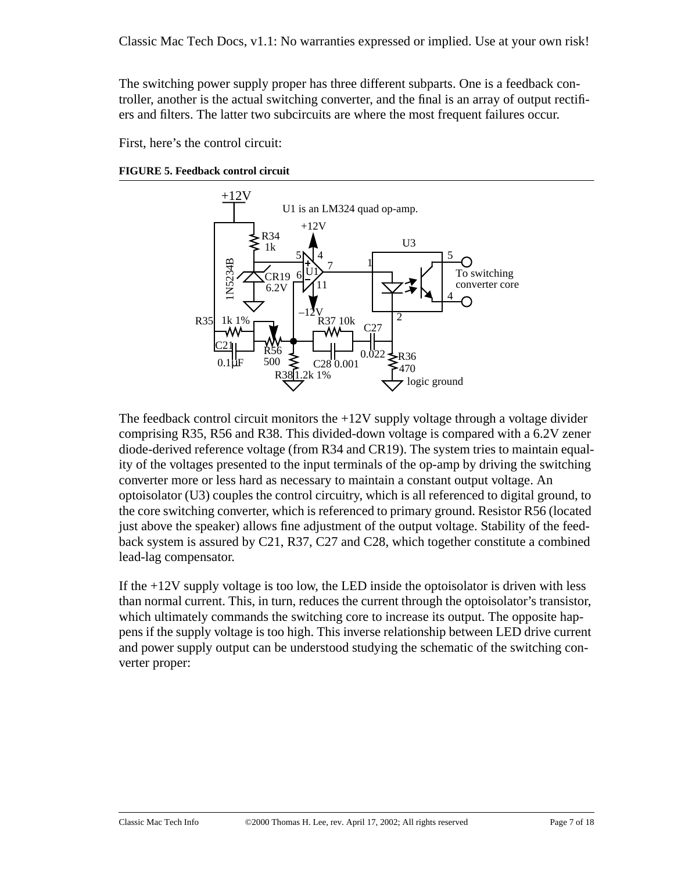The switching power supply proper has three different subparts. One is a feedback controller, another is the actual switching converter, and the final is an array of output rectifiers and filters. The latter two subcircuits are where the most frequent failures occur.

First, here's the control circuit:

**FIGURE 5. Feedback control circuit**



The feedback control circuit monitors the  $+12V$  supply voltage through a voltage divider comprising R35, R56 and R38. This divided-down voltage is compared with a 6.2V zener diode-derived reference voltage (from R34 and CR19). The system tries to maintain equality of the voltages presented to the input terminals of the op-amp by driving the switching converter more or less hard as necessary to maintain a constant output voltage. An optoisolator (U3) couples the control circuitry, which is all referenced to digital ground, to the core switching converter, which is referenced to primary ground. Resistor R56 (located just above the speaker) allows fine adjustment of the output voltage. Stability of the feedback system is assured by C21, R37, C27 and C28, which together constitute a combined lead-lag compensator.

If the +12V supply voltage is too low, the LED inside the optoisolator is driven with less than normal current. This, in turn, reduces the current through the optoisolator's transistor, which ultimately commands the switching core to increase its output. The opposite happens if the supply voltage is too high. This inverse relationship between LED drive current and power supply output can be understood studying the schematic of the switching converter proper: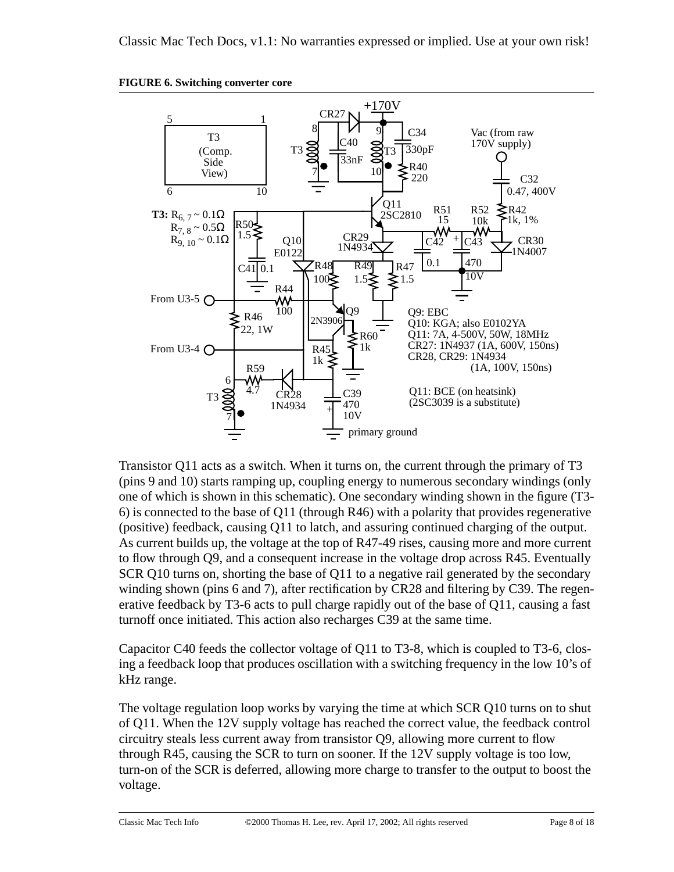



Transistor Q11 acts as a switch. When it turns on, the current through the primary of T3 (pins 9 and 10) starts ramping up, coupling energy to numerous secondary windings (only one of which is shown in this schematic). One secondary winding shown in the figure (T3- 6) is connected to the base of Q11 (through R46) with a polarity that provides regenerative (positive) feedback, causing Q11 to latch, and assuring continued charging of the output. As current builds up, the voltage at the top of R47-49 rises, causing more and more current to flow through Q9, and a consequent increase in the voltage drop across R45. Eventually SCR Q10 turns on, shorting the base of Q11 to a negative rail generated by the secondary winding shown (pins 6 and 7), after rectification by CR28 and filtering by C39. The regenerative feedback by T3-6 acts to pull charge rapidly out of the base of Q11, causing a fast turnoff once initiated. This action also recharges C39 at the same time.

Capacitor C40 feeds the collector voltage of Q11 to T3-8, which is coupled to T3-6, closing a feedback loop that produces oscillation with a switching frequency in the low 10's of kHz range.

The voltage regulation loop works by varying the time at which SCR Q10 turns on to shut of Q11. When the 12V supply voltage has reached the correct value, the feedback control circuitry steals less current away from transistor Q9, allowing more current to flow through R45, causing the SCR to turn on sooner. If the 12V supply voltage is too low, turn-on of the SCR is deferred, allowing more charge to transfer to the output to boost the voltage.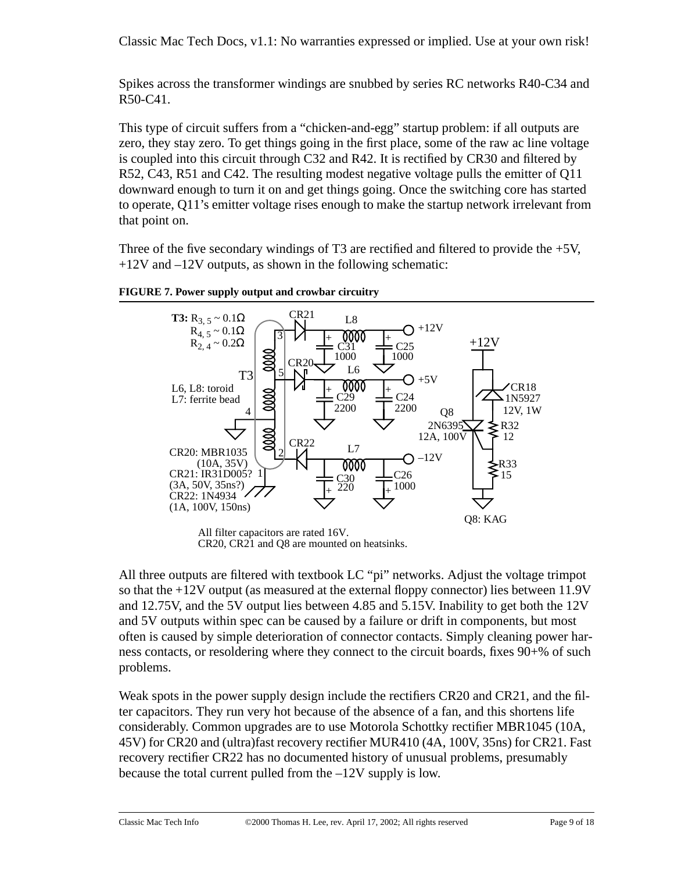Classic Mac Tech Docs, v1.1: No warranties expressed or implied. Use at your own risk!

Spikes across the transformer windings are snubbed by series RC networks R40-C34 and R50-C41.

This type of circuit suffers from a "chicken-and-egg" startup problem: if all outputs are zero, they stay zero. To get things going in the first place, some of the raw ac line voltage is coupled into this circuit through C32 and R42. It is rectified by CR30 and filtered by R52, C43, R51 and C42. The resulting modest negative voltage pulls the emitter of Q11 downward enough to turn it on and get things going. Once the switching core has started to operate, Q11's emitter voltage rises enough to make the startup network irrelevant from that point on.

Three of the five secondary windings of T3 are rectified and filtered to provide the  $+5V$ ,  $+12V$  and  $-12V$  outputs, as shown in the following schematic:



**FIGURE 7. Power supply output and crowbar circuitry**

CR20, CR21 and Q8 are mounted on heatsinks.

All three outputs are filtered with textbook LC "pi" networks. Adjust the voltage trimpot so that the +12V output (as measured at the external floppy connector) lies between 11.9V and 12.75V, and the 5V output lies between 4.85 and 5.15V. Inability to get both the 12V and 5V outputs within spec can be caused by a failure or drift in components, but most often is caused by simple deterioration of connector contacts. Simply cleaning power harness contacts, or resoldering where they connect to the circuit boards, fixes 90+% of such problems.

Weak spots in the power supply design include the rectifiers CR20 and CR21, and the filter capacitors. They run very hot because of the absence of a fan, and this shortens life considerably. Common upgrades are to use Motorola Schottky rectifier MBR1045 (10A, 45V) for CR20 and (ultra)fast recovery rectifier MUR410 (4A, 100V, 35ns) for CR21. Fast recovery rectifier CR22 has no documented history of unusual problems, presumably because the total current pulled from the –12V supply is low.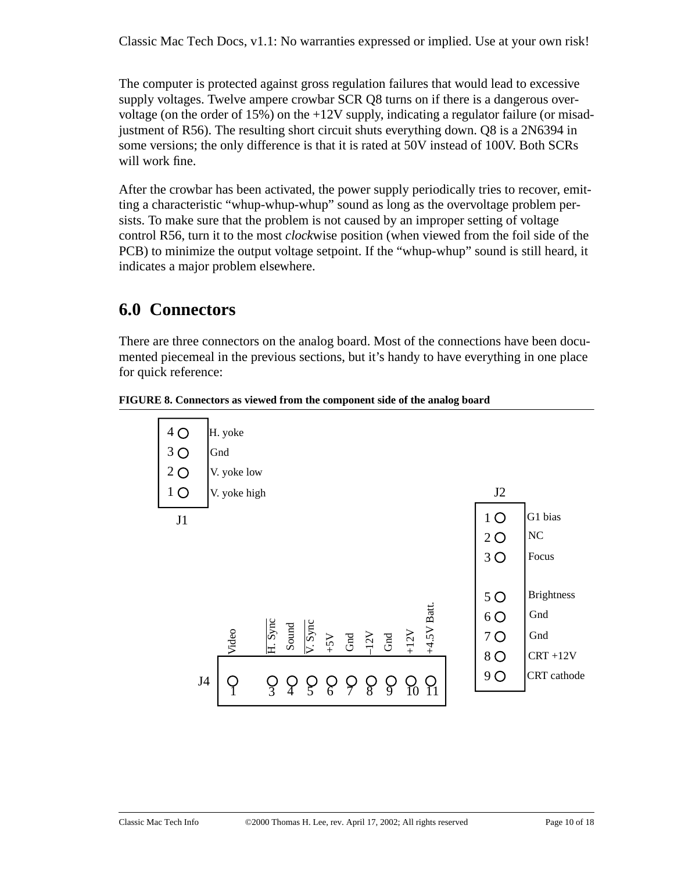The computer is protected against gross regulation failures that would lead to excessive supply voltages. Twelve ampere crowbar SCR Q8 turns on if there is a dangerous overvoltage (on the order of 15%) on the +12V supply, indicating a regulator failure (or misadjustment of R56). The resulting short circuit shuts everything down. Q8 is a 2N6394 in some versions; the only difference is that it is rated at 50V instead of 100V. Both SCRs will work fine.

After the crowbar has been activated, the power supply periodically tries to recover, emitting a characteristic "whup-whup-whup" sound as long as the overvoltage problem persists. To make sure that the problem is not caused by an improper setting of voltage control R56, turn it to the most *clock*wise position (when viewed from the foil side of the PCB) to minimize the output voltage setpoint. If the "whup-whup" sound is still heard, it indicates a major problem elsewhere.

# **6.0 Connectors**

There are three connectors on the analog board. Most of the connections have been documented piecemeal in the previous sections, but it's handy to have everything in one place for quick reference:



**FIGURE 8. Connectors as viewed from the component side of the analog board**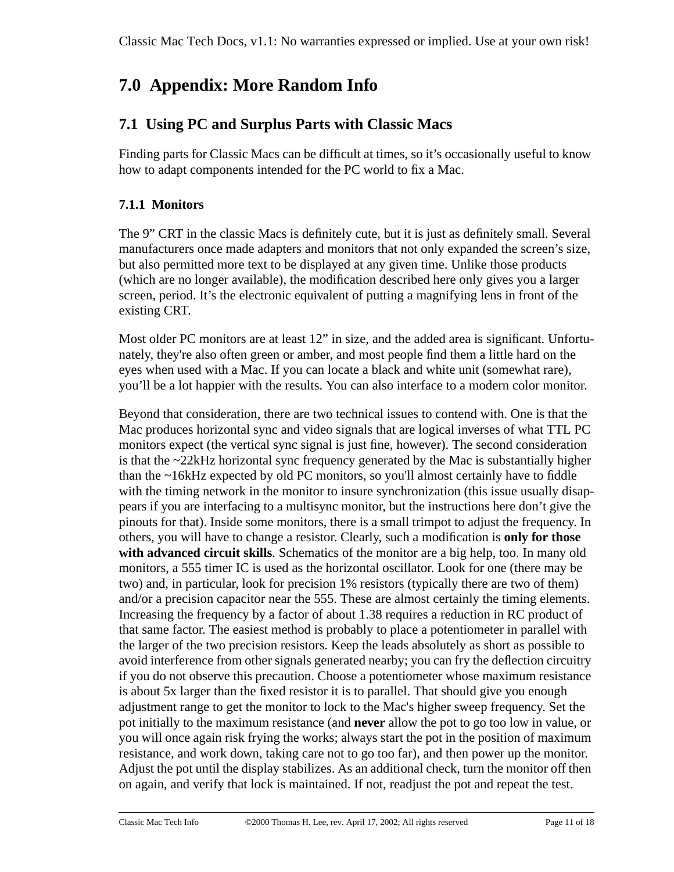# **7.0 Appendix: More Random Info**

### **7.1 Using PC and Surplus Parts with Classic Macs**

Finding parts for Classic Macs can be difficult at times, so it's occasionally useful to know how to adapt components intended for the PC world to fix a Mac.

### **7.1.1 Monitors**

The 9" CRT in the classic Macs is definitely cute, but it is just as definitely small. Several manufacturers once made adapters and monitors that not only expanded the screen's size, but also permitted more text to be displayed at any given time. Unlike those products (which are no longer available), the modification described here only gives you a larger screen, period. It's the electronic equivalent of putting a magnifying lens in front of the existing CRT.

Most older PC monitors are at least 12" in size, and the added area is significant. Unfortunately, they're also often green or amber, and most people find them a little hard on the eyes when used with a Mac. If you can locate a black and white unit (somewhat rare), you'll be a lot happier with the results. You can also interface to a modern color monitor.

Beyond that consideration, there are two technical issues to contend with. One is that the Mac produces horizontal sync and video signals that are logical inverses of what TTL PC monitors expect (the vertical sync signal is just fine, however). The second consideration is that the ~22kHz horizontal sync frequency generated by the Mac is substantially higher than the ~16kHz expected by old PC monitors, so you'll almost certainly have to fiddle with the timing network in the monitor to insure synchronization (this issue usually disappears if you are interfacing to a multisync monitor, but the instructions here don't give the pinouts for that). Inside some monitors, there is a small trimpot to adjust the frequency. In others, you will have to change a resistor. Clearly, such a modification is **only for those with advanced circuit skills**. Schematics of the monitor are a big help, too. In many old monitors, a 555 timer IC is used as the horizontal oscillator. Look for one (there may be two) and, in particular, look for precision 1% resistors (typically there are two of them) and/or a precision capacitor near the 555. These are almost certainly the timing elements. Increasing the frequency by a factor of about 1.38 requires a reduction in RC product of that same factor. The easiest method is probably to place a potentiometer in parallel with the larger of the two precision resistors. Keep the leads absolutely as short as possible to avoid interference from other signals generated nearby; you can fry the deflection circuitry if you do not observe this precaution. Choose a potentiometer whose maximum resistance is about 5x larger than the fixed resistor it is to parallel. That should give you enough adjustment range to get the monitor to lock to the Mac's higher sweep frequency. Set the pot initially to the maximum resistance (and **never** allow the pot to go too low in value, or you will once again risk frying the works; always start the pot in the position of maximum resistance, and work down, taking care not to go too far), and then power up the monitor. Adjust the pot until the display stabilizes. As an additional check, turn the monitor off then on again, and verify that lock is maintained. If not, readjust the pot and repeat the test.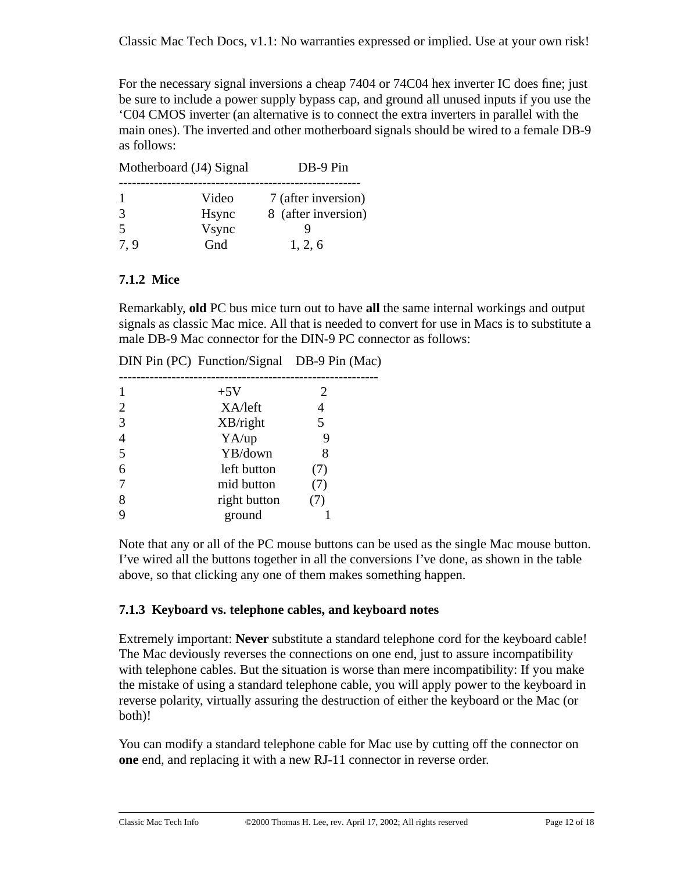For the necessary signal inversions a cheap 7404 or 74C04 hex inverter IC does fine; just be sure to include a power supply bypass cap, and ground all unused inputs if you use the 'C04 CMOS inverter (an alternative is to connect the extra inverters in parallel with the main ones). The inverted and other motherboard signals should be wired to a female DB-9 as follows:

| Motherboard (J4) Signal  |               | DB-9 Pin            |
|--------------------------|---------------|---------------------|
|                          | Video         | 7 (after inversion) |
| $\mathcal{R}$            | <b>H</b> sync | 8 (after inversion) |
| $\overline{\mathcal{L}}$ | Vsync         |                     |
| 7.9                      | Gnd           | 1, 2, 6             |

### **7.1.2 Mice**

Remarkably, **old** PC bus mice turn out to have **all** the same internal workings and output signals as classic Mac mice. All that is needed to convert for use in Macs is to substitute a male DB-9 Mac connector for the DIN-9 PC connector as follows:

|                | DIN Pin (PC) Function/Signal DB-9 Pin (Mac) |     |
|----------------|---------------------------------------------|-----|
| $\mathbf{1}$   | $+5V$                                       |     |
| $\overline{2}$ | XA/left                                     | 4   |
| 3              | XB/right                                    | 5   |
| $\overline{4}$ | YA/up                                       |     |
| 5              | YB/down                                     | 8   |
| 6              | left button                                 | (7) |
| $\overline{7}$ | mid button                                  | (7) |
| 8              | right button                                | (7) |
| 9              | ground                                      |     |

Note that any or all of the PC mouse buttons can be used as the single Mac mouse button. I've wired all the buttons together in all the conversions I've done, as shown in the table above, so that clicking any one of them makes something happen.

### **7.1.3 Keyboard vs. telephone cables, and keyboard notes**

Extremely important: **Never** substitute a standard telephone cord for the keyboard cable! The Mac deviously reverses the connections on one end, just to assure incompatibility with telephone cables. But the situation is worse than mere incompatibility: If you make the mistake of using a standard telephone cable, you will apply power to the keyboard in reverse polarity, virtually assuring the destruction of either the keyboard or the Mac (or both)!

You can modify a standard telephone cable for Mac use by cutting off the connector on **one** end, and replacing it with a new RJ-11 connector in reverse order.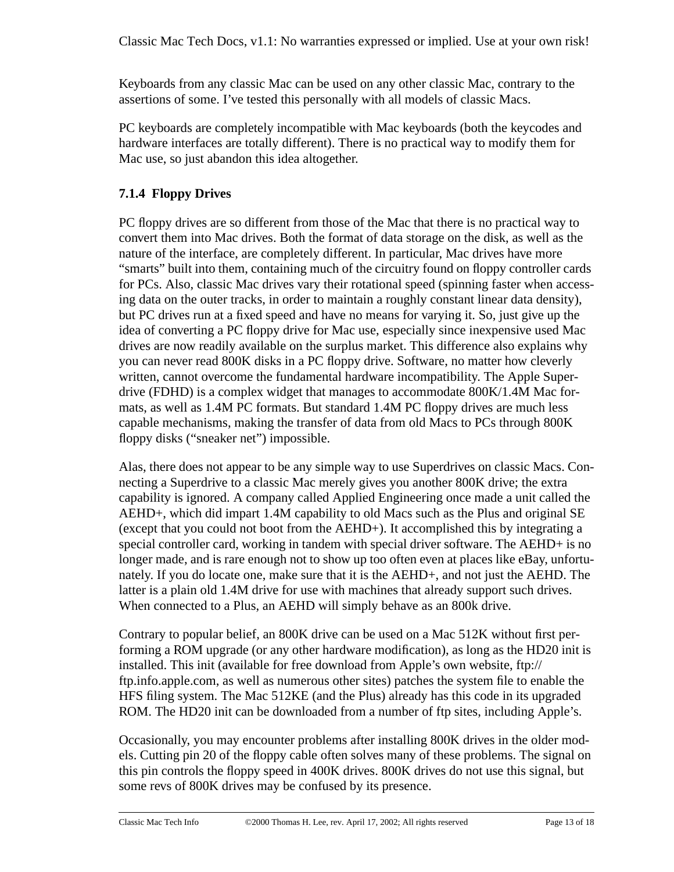Keyboards from any classic Mac can be used on any other classic Mac, contrary to the assertions of some. I've tested this personally with all models of classic Macs.

PC keyboards are completely incompatible with Mac keyboards (both the keycodes and hardware interfaces are totally different). There is no practical way to modify them for Mac use, so just abandon this idea altogether.

### **7.1.4 Floppy Drives**

PC floppy drives are so different from those of the Mac that there is no practical way to convert them into Mac drives. Both the format of data storage on the disk, as well as the nature of the interface, are completely different. In particular, Mac drives have more "smarts" built into them, containing much of the circuitry found on floppy controller cards for PCs. Also, classic Mac drives vary their rotational speed (spinning faster when accessing data on the outer tracks, in order to maintain a roughly constant linear data density), but PC drives run at a fixed speed and have no means for varying it. So, just give up the idea of converting a PC floppy drive for Mac use, especially since inexpensive used Mac drives are now readily available on the surplus market. This difference also explains why you can never read 800K disks in a PC floppy drive. Software, no matter how cleverly written, cannot overcome the fundamental hardware incompatibility. The Apple Superdrive (FDHD) is a complex widget that manages to accommodate 800K/1.4M Mac formats, as well as 1.4M PC formats. But standard 1.4M PC floppy drives are much less capable mechanisms, making the transfer of data from old Macs to PCs through 800K floppy disks ("sneaker net") impossible.

Alas, there does not appear to be any simple way to use Superdrives on classic Macs. Connecting a Superdrive to a classic Mac merely gives you another 800K drive; the extra capability is ignored. A company called Applied Engineering once made a unit called the AEHD+, which did impart 1.4M capability to old Macs such as the Plus and original SE (except that you could not boot from the AEHD+). It accomplished this by integrating a special controller card, working in tandem with special driver software. The AEHD+ is no longer made, and is rare enough not to show up too often even at places like eBay, unfortunately. If you do locate one, make sure that it is the AEHD+, and not just the AEHD. The latter is a plain old 1.4M drive for use with machines that already support such drives. When connected to a Plus, an AEHD will simply behave as an 800k drive.

Contrary to popular belief, an 800K drive can be used on a Mac 512K without first performing a ROM upgrade (or any other hardware modification), as long as the HD20 init is installed. This init (available for free download from Apple's own website, ftp:// ftp.info.apple.com, as well as numerous other sites) patches the system file to enable the HFS filing system. The Mac 512KE (and the Plus) already has this code in its upgraded ROM. The HD20 init can be downloaded from a number of ftp sites, including Apple's.

Occasionally, you may encounter problems after installing 800K drives in the older models. Cutting pin 20 of the floppy cable often solves many of these problems. The signal on this pin controls the floppy speed in 400K drives. 800K drives do not use this signal, but some revs of 800K drives may be confused by its presence.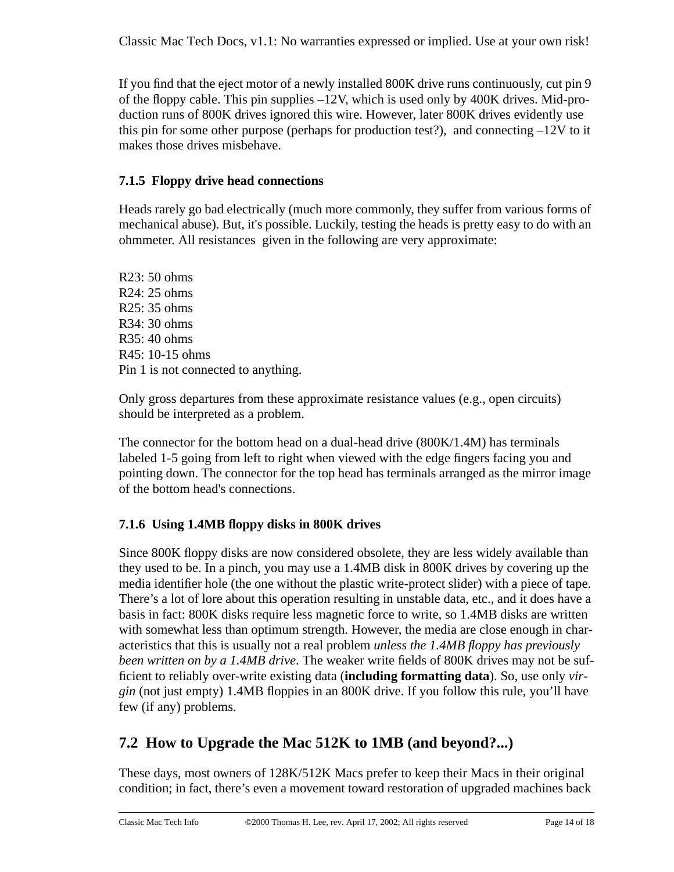If you find that the eject motor of a newly installed 800K drive runs continuously, cut pin 9 of the floppy cable. This pin supplies –12V, which is used only by 400K drives. Mid-production runs of 800K drives ignored this wire. However, later 800K drives evidently use this pin for some other purpose (perhaps for production test?), and connecting  $-12V$  to it makes those drives misbehave.

### **7.1.5 Floppy drive head connections**

Heads rarely go bad electrically (much more commonly, they suffer from various forms of mechanical abuse). But, it's possible. Luckily, testing the heads is pretty easy to do with an ohmmeter. All resistances given in the following are very approximate:

R23: 50 ohms R24: 25 ohms R25: 35 ohms R34: 30 ohms R35: 40 ohms R45: 10-15 ohms Pin 1 is not connected to anything.

Only gross departures from these approximate resistance values (e.g., open circuits) should be interpreted as a problem.

The connector for the bottom head on a dual-head drive (800K/1.4M) has terminals labeled 1-5 going from left to right when viewed with the edge fingers facing you and pointing down. The connector for the top head has terminals arranged as the mirror image of the bottom head's connections.

### **7.1.6 Using 1.4MB floppy disks in 800K drives**

Since 800K floppy disks are now considered obsolete, they are less widely available than they used to be. In a pinch, you may use a 1.4MB disk in 800K drives by covering up the media identifier hole (the one without the plastic write-protect slider) with a piece of tape. There's a lot of lore about this operation resulting in unstable data, etc., and it does have a basis in fact: 800K disks require less magnetic force to write, so 1.4MB disks are written with somewhat less than optimum strength. However, the media are close enough in characteristics that this is usually not a real problem *unless the 1.4MB floppy has previously been written on by a 1.4MB drive*. The weaker write fields of 800K drives may not be sufficient to reliably over-write existing data (**including formatting data**). So, use only *virgin* (not just empty) 1.4MB floppies in an 800K drive. If you follow this rule, you'll have few (if any) problems.

### **7.2 How to Upgrade the Mac 512K to 1MB (and beyond?...)**

These days, most owners of 128K/512K Macs prefer to keep their Macs in their original condition; in fact, there's even a movement toward restoration of upgraded machines back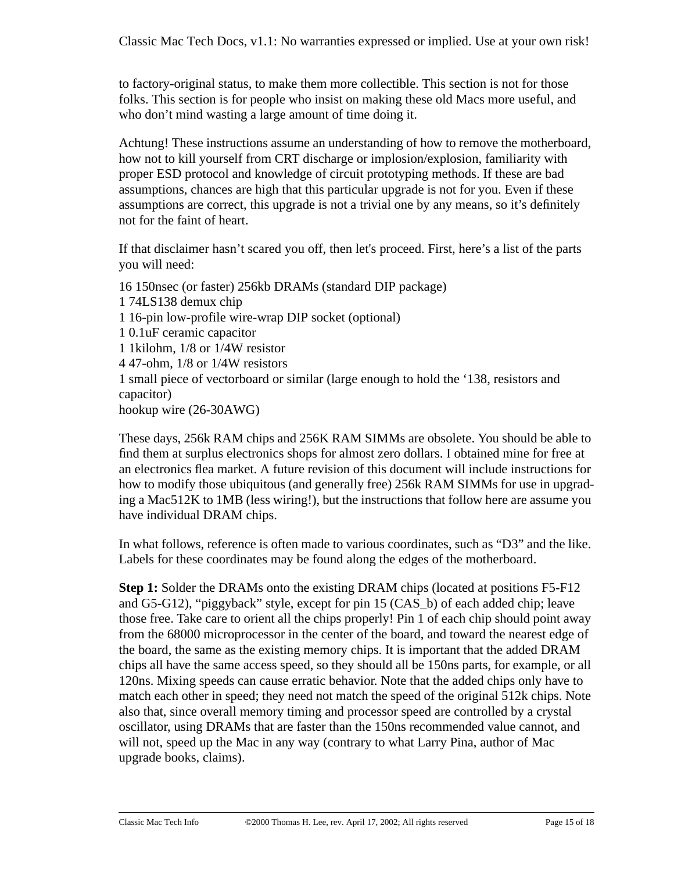to factory-original status, to make them more collectible. This section is not for those folks. This section is for people who insist on making these old Macs more useful, and who don't mind wasting a large amount of time doing it.

Achtung! These instructions assume an understanding of how to remove the motherboard, how not to kill yourself from CRT discharge or implosion/explosion, familiarity with proper ESD protocol and knowledge of circuit prototyping methods. If these are bad assumptions, chances are high that this particular upgrade is not for you. Even if these assumptions are correct, this upgrade is not a trivial one by any means, so it's definitely not for the faint of heart.

If that disclaimer hasn't scared you off, then let's proceed. First, here's a list of the parts you will need:

16 150nsec (or faster) 256kb DRAMs (standard DIP package) 1 74LS138 demux chip 1 16-pin low-profile wire-wrap DIP socket (optional) 1 0.1uF ceramic capacitor 1 1kilohm, 1/8 or 1/4W resistor 4 47-ohm, 1/8 or 1/4W resistors 1 small piece of vectorboard or similar (large enough to hold the '138, resistors and capacitor) hookup wire (26-30AWG)

These days, 256k RAM chips and 256K RAM SIMMs are obsolete. You should be able to find them at surplus electronics shops for almost zero dollars. I obtained mine for free at an electronics flea market. A future revision of this document will include instructions for how to modify those ubiquitous (and generally free) 256k RAM SIMMs for use in upgrading a Mac512K to 1MB (less wiring!), but the instructions that follow here are assume you have individual DRAM chips.

In what follows, reference is often made to various coordinates, such as "D3" and the like. Labels for these coordinates may be found along the edges of the motherboard.

**Step 1:** Solder the DRAMs onto the existing DRAM chips (located at positions F5-F12) and G5-G12), "piggyback" style, except for pin 15 (CAS\_b) of each added chip; leave those free. Take care to orient all the chips properly! Pin 1 of each chip should point away from the 68000 microprocessor in the center of the board, and toward the nearest edge of the board, the same as the existing memory chips. It is important that the added DRAM chips all have the same access speed, so they should all be 150ns parts, for example, or all 120ns. Mixing speeds can cause erratic behavior. Note that the added chips only have to match each other in speed; they need not match the speed of the original 512k chips. Note also that, since overall memory timing and processor speed are controlled by a crystal oscillator, using DRAMs that are faster than the 150ns recommended value cannot, and will not, speed up the Mac in any way (contrary to what Larry Pina, author of Mac upgrade books, claims).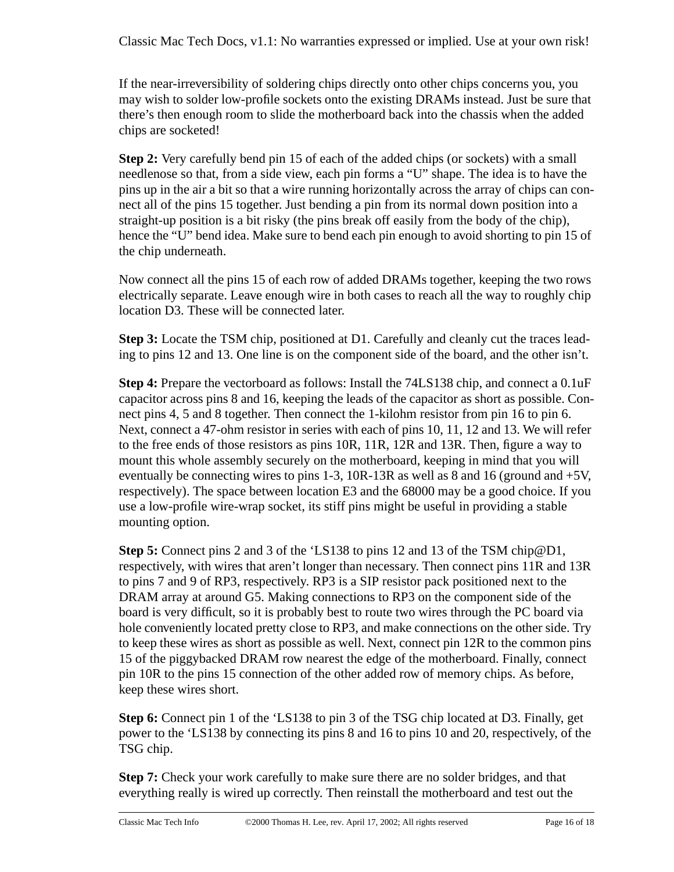If the near-irreversibility of soldering chips directly onto other chips concerns you, you may wish to solder low-profile sockets onto the existing DRAMs instead. Just be sure that there's then enough room to slide the motherboard back into the chassis when the added chips are socketed!

**Step 2:** Very carefully bend pin 15 of each of the added chips (or sockets) with a small needlenose so that, from a side view, each pin forms a "U" shape. The idea is to have the pins up in the air a bit so that a wire running horizontally across the array of chips can connect all of the pins 15 together. Just bending a pin from its normal down position into a straight-up position is a bit risky (the pins break off easily from the body of the chip), hence the "U" bend idea. Make sure to bend each pin enough to avoid shorting to pin 15 of the chip underneath.

Now connect all the pins 15 of each row of added DRAMs together, keeping the two rows electrically separate. Leave enough wire in both cases to reach all the way to roughly chip location D3. These will be connected later.

**Step 3:** Locate the TSM chip, positioned at D1. Carefully and cleanly cut the traces leading to pins 12 and 13. One line is on the component side of the board, and the other isn't.

**Step 4:** Prepare the vectorboard as follows: Install the 74LS138 chip, and connect a 0.1uF capacitor across pins 8 and 16, keeping the leads of the capacitor as short as possible. Connect pins 4, 5 and 8 together. Then connect the 1-kilohm resistor from pin 16 to pin 6. Next, connect a 47-ohm resistor in series with each of pins 10, 11, 12 and 13. We will refer to the free ends of those resistors as pins 10R, 11R, 12R and 13R. Then, figure a way to mount this whole assembly securely on the motherboard, keeping in mind that you will eventually be connecting wires to pins 1-3, 10R-13R as well as 8 and 16 (ground and +5V, respectively). The space between location E3 and the 68000 may be a good choice. If you use a low-profile wire-wrap socket, its stiff pins might be useful in providing a stable mounting option.

**Step 5:** Connect pins 2 and 3 of the 'LS138 to pins 12 and 13 of the TSM chip@D1, respectively, with wires that aren't longer than necessary. Then connect pins 11R and 13R to pins 7 and 9 of RP3, respectively. RP3 is a SIP resistor pack positioned next to the DRAM array at around G5. Making connections to RP3 on the component side of the board is very difficult, so it is probably best to route two wires through the PC board via hole conveniently located pretty close to RP3, and make connections on the other side. Try to keep these wires as short as possible as well. Next, connect pin 12R to the common pins 15 of the piggybacked DRAM row nearest the edge of the motherboard. Finally, connect pin 10R to the pins 15 connection of the other added row of memory chips. As before, keep these wires short.

**Step 6:** Connect pin 1 of the 'LS138 to pin 3 of the TSG chip located at D3. Finally, get power to the 'LS138 by connecting its pins 8 and 16 to pins 10 and 20, respectively, of the TSG chip.

**Step 7:** Check your work carefully to make sure there are no solder bridges, and that everything really is wired up correctly. Then reinstall the motherboard and test out the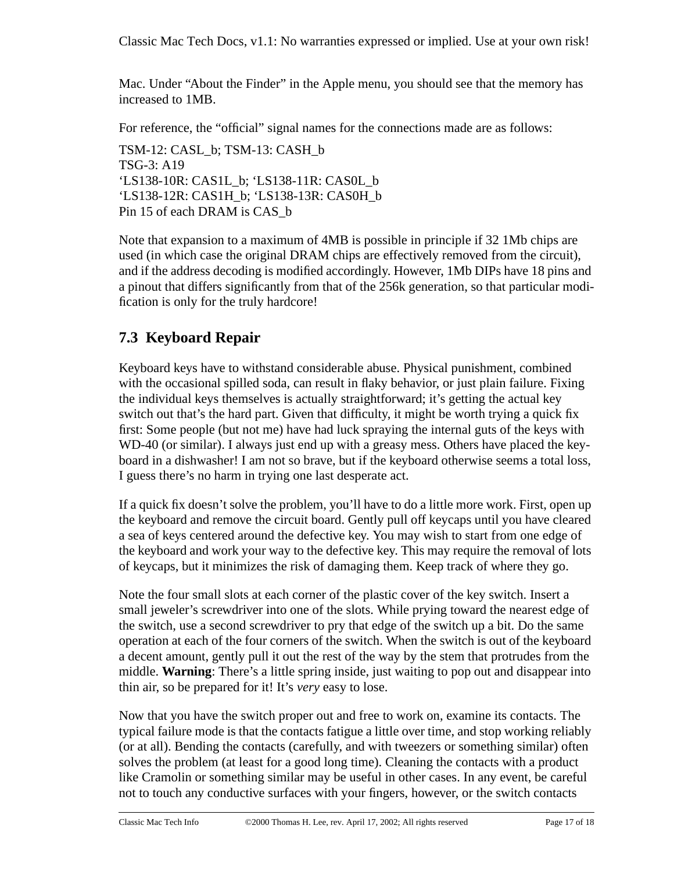Classic Mac Tech Docs, v1.1: No warranties expressed or implied. Use at your own risk!

Mac. Under "About the Finder" in the Apple menu, you should see that the memory has increased to 1MB.

For reference, the "official" signal names for the connections made are as follows:

TSM-12: CASL\_b; TSM-13: CASH\_b TSG-3: A19 'LS138-10R: CAS1L\_b; 'LS138-11R: CAS0L\_b 'LS138-12R: CAS1H\_b; 'LS138-13R: CAS0H\_b Pin 15 of each DRAM is CAS\_b

Note that expansion to a maximum of 4MB is possible in principle if 32 1Mb chips are used (in which case the original DRAM chips are effectively removed from the circuit), and if the address decoding is modified accordingly. However, 1Mb DIPs have 18 pins and a pinout that differs significantly from that of the 256k generation, so that particular modification is only for the truly hardcore!

### **7.3 Keyboard Repair**

Keyboard keys have to withstand considerable abuse. Physical punishment, combined with the occasional spilled soda, can result in flaky behavior, or just plain failure. Fixing the individual keys themselves is actually straightforward; it's getting the actual key switch out that's the hard part. Given that difficulty, it might be worth trying a quick fix first: Some people (but not me) have had luck spraying the internal guts of the keys with WD-40 (or similar). I always just end up with a greasy mess. Others have placed the keyboard in a dishwasher! I am not so brave, but if the keyboard otherwise seems a total loss, I guess there's no harm in trying one last desperate act.

If a quick fix doesn't solve the problem, you'll have to do a little more work. First, open up the keyboard and remove the circuit board. Gently pull off keycaps until you have cleared a sea of keys centered around the defective key. You may wish to start from one edge of the keyboard and work your way to the defective key. This may require the removal of lots of keycaps, but it minimizes the risk of damaging them. Keep track of where they go.

Note the four small slots at each corner of the plastic cover of the key switch. Insert a small jeweler's screwdriver into one of the slots. While prying toward the nearest edge of the switch, use a second screwdriver to pry that edge of the switch up a bit. Do the same operation at each of the four corners of the switch. When the switch is out of the keyboard a decent amount, gently pull it out the rest of the way by the stem that protrudes from the middle. **Warning**: There's a little spring inside, just waiting to pop out and disappear into thin air, so be prepared for it! It's *very* easy to lose.

Now that you have the switch proper out and free to work on, examine its contacts. The typical failure mode is that the contacts fatigue a little over time, and stop working reliably (or at all). Bending the contacts (carefully, and with tweezers or something similar) often solves the problem (at least for a good long time). Cleaning the contacts with a product like Cramolin or something similar may be useful in other cases. In any event, be careful not to touch any conductive surfaces with your fingers, however, or the switch contacts